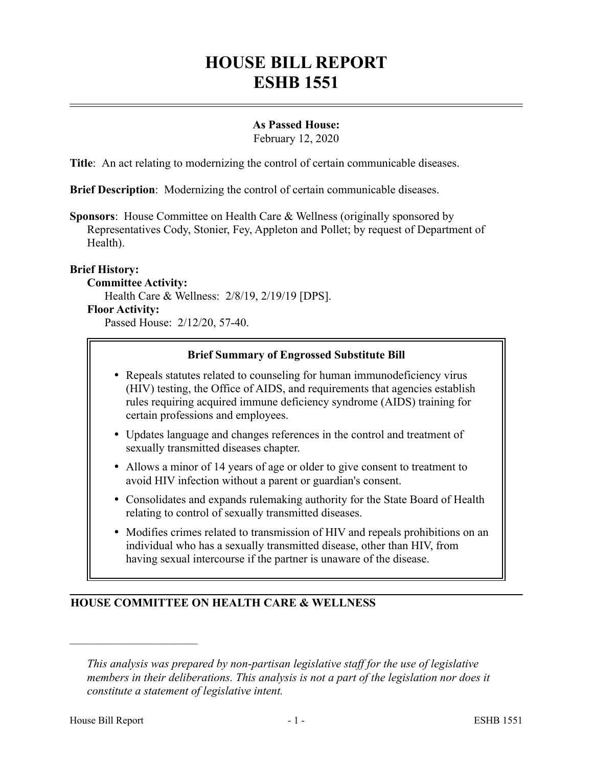# **HOUSE BILL REPORT ESHB 1551**

## **As Passed House:**

February 12, 2020

**Title**: An act relating to modernizing the control of certain communicable diseases.

**Brief Description**: Modernizing the control of certain communicable diseases.

**Sponsors**: House Committee on Health Care & Wellness (originally sponsored by Representatives Cody, Stonier, Fey, Appleton and Pollet; by request of Department of Health).

#### **Brief History:**

#### **Committee Activity:**

Health Care & Wellness: 2/8/19, 2/19/19 [DPS].

#### **Floor Activity:**

Passed House: 2/12/20, 57-40.

#### **Brief Summary of Engrossed Substitute Bill**

- Repeals statutes related to counseling for human immunodeficiency virus (HIV) testing, the Office of AIDS, and requirements that agencies establish rules requiring acquired immune deficiency syndrome (AIDS) training for certain professions and employees.
- Updates language and changes references in the control and treatment of sexually transmitted diseases chapter.
- Allows a minor of 14 years of age or older to give consent to treatment to avoid HIV infection without a parent or guardian's consent.
- Consolidates and expands rulemaking authority for the State Board of Health relating to control of sexually transmitted diseases.
- Modifies crimes related to transmission of HIV and repeals prohibitions on an individual who has a sexually transmitted disease, other than HIV, from having sexual intercourse if the partner is unaware of the disease.

## **HOUSE COMMITTEE ON HEALTH CARE & WELLNESS**

––––––––––––––––––––––

*This analysis was prepared by non-partisan legislative staff for the use of legislative members in their deliberations. This analysis is not a part of the legislation nor does it constitute a statement of legislative intent.*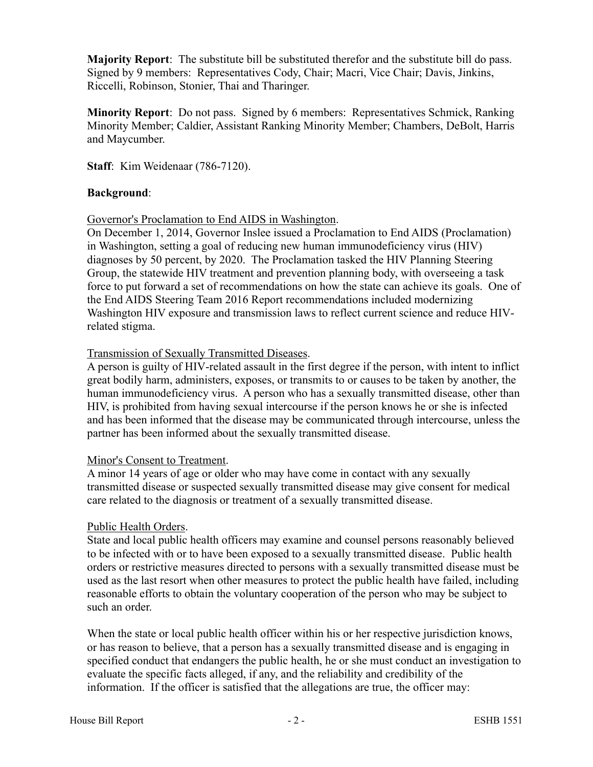**Majority Report**: The substitute bill be substituted therefor and the substitute bill do pass. Signed by 9 members: Representatives Cody, Chair; Macri, Vice Chair; Davis, Jinkins, Riccelli, Robinson, Stonier, Thai and Tharinger.

**Minority Report**: Do not pass. Signed by 6 members: Representatives Schmick, Ranking Minority Member; Caldier, Assistant Ranking Minority Member; Chambers, DeBolt, Harris and Maycumber.

**Staff**: Kim Weidenaar (786-7120).

## **Background**:

Governor's Proclamation to End AIDS in Washington.

On December 1, 2014, Governor Inslee issued a Proclamation to End AIDS (Proclamation) in Washington, setting a goal of reducing new human immunodeficiency virus (HIV) diagnoses by 50 percent, by 2020. The Proclamation tasked the HIV Planning Steering Group, the statewide HIV treatment and prevention planning body, with overseeing a task force to put forward a set of recommendations on how the state can achieve its goals. One of the End AIDS Steering Team 2016 Report recommendations included modernizing Washington HIV exposure and transmission laws to reflect current science and reduce HIVrelated stigma.

## Transmission of Sexually Transmitted Diseases.

A person is guilty of HIV-related assault in the first degree if the person, with intent to inflict great bodily harm, administers, exposes, or transmits to or causes to be taken by another, the human immunodeficiency virus. A person who has a sexually transmitted disease, other than HIV, is prohibited from having sexual intercourse if the person knows he or she is infected and has been informed that the disease may be communicated through intercourse, unless the partner has been informed about the sexually transmitted disease.

#### Minor's Consent to Treatment.

A minor 14 years of age or older who may have come in contact with any sexually transmitted disease or suspected sexually transmitted disease may give consent for medical care related to the diagnosis or treatment of a sexually transmitted disease.

## Public Health Orders.

State and local public health officers may examine and counsel persons reasonably believed to be infected with or to have been exposed to a sexually transmitted disease. Public health orders or restrictive measures directed to persons with a sexually transmitted disease must be used as the last resort when other measures to protect the public health have failed, including reasonable efforts to obtain the voluntary cooperation of the person who may be subject to such an order.

When the state or local public health officer within his or her respective jurisdiction knows, or has reason to believe, that a person has a sexually transmitted disease and is engaging in specified conduct that endangers the public health, he or she must conduct an investigation to evaluate the specific facts alleged, if any, and the reliability and credibility of the information. If the officer is satisfied that the allegations are true, the officer may: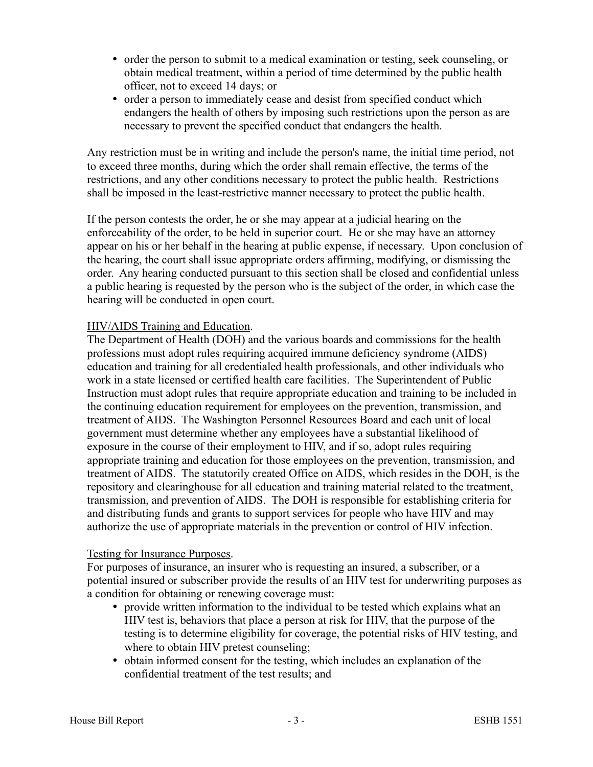- order the person to submit to a medical examination or testing, seek counseling, or obtain medical treatment, within a period of time determined by the public health officer, not to exceed 14 days; or
- order a person to immediately cease and desist from specified conduct which endangers the health of others by imposing such restrictions upon the person as are necessary to prevent the specified conduct that endangers the health.

Any restriction must be in writing and include the person's name, the initial time period, not to exceed three months, during which the order shall remain effective, the terms of the restrictions, and any other conditions necessary to protect the public health. Restrictions shall be imposed in the least-restrictive manner necessary to protect the public health.

If the person contests the order, he or she may appear at a judicial hearing on the enforceability of the order, to be held in superior court. He or she may have an attorney appear on his or her behalf in the hearing at public expense, if necessary. Upon conclusion of the hearing, the court shall issue appropriate orders affirming, modifying, or dismissing the order. Any hearing conducted pursuant to this section shall be closed and confidential unless a public hearing is requested by the person who is the subject of the order, in which case the hearing will be conducted in open court.

## HIV/AIDS Training and Education.

The Department of Health (DOH) and the various boards and commissions for the health professions must adopt rules requiring acquired immune deficiency syndrome (AIDS) education and training for all credentialed health professionals, and other individuals who work in a state licensed or certified health care facilities. The Superintendent of Public Instruction must adopt rules that require appropriate education and training to be included in the continuing education requirement for employees on the prevention, transmission, and treatment of AIDS. The Washington Personnel Resources Board and each unit of local government must determine whether any employees have a substantial likelihood of exposure in the course of their employment to HIV, and if so, adopt rules requiring appropriate training and education for those employees on the prevention, transmission, and treatment of AIDS. The statutorily created Office on AIDS, which resides in the DOH, is the repository and clearinghouse for all education and training material related to the treatment, transmission, and prevention of AIDS. The DOH is responsible for establishing criteria for and distributing funds and grants to support services for people who have HIV and may authorize the use of appropriate materials in the prevention or control of HIV infection.

## Testing for Insurance Purposes.

For purposes of insurance, an insurer who is requesting an insured, a subscriber, or a potential insured or subscriber provide the results of an HIV test for underwriting purposes as a condition for obtaining or renewing coverage must:

- provide written information to the individual to be tested which explains what an HIV test is, behaviors that place a person at risk for HIV, that the purpose of the testing is to determine eligibility for coverage, the potential risks of HIV testing, and where to obtain HIV pretest counseling;
- obtain informed consent for the testing, which includes an explanation of the confidential treatment of the test results; and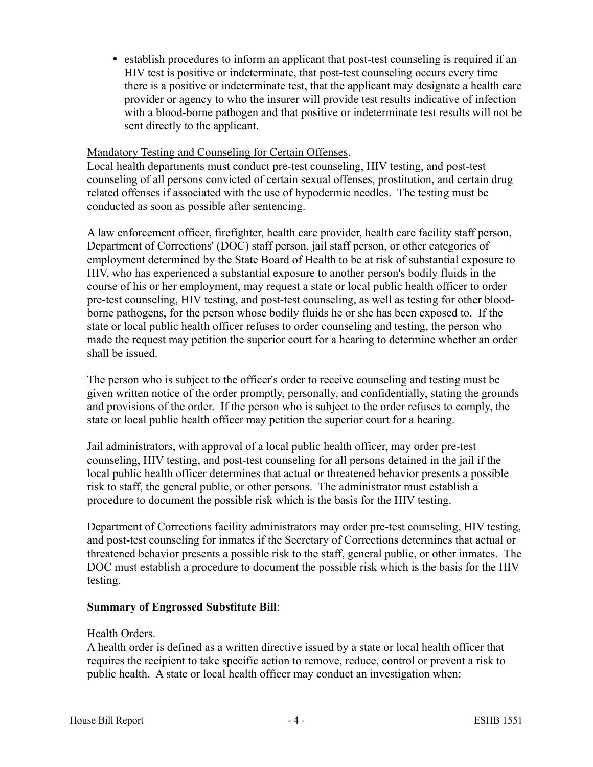• establish procedures to inform an applicant that post-test counseling is required if an HIV test is positive or indeterminate, that post-test counseling occurs every time there is a positive or indeterminate test, that the applicant may designate a health care provider or agency to who the insurer will provide test results indicative of infection with a blood-borne pathogen and that positive or indeterminate test results will not be sent directly to the applicant.

#### Mandatory Testing and Counseling for Certain Offenses.

Local health departments must conduct pre-test counseling, HIV testing, and post-test counseling of all persons convicted of certain sexual offenses, prostitution, and certain drug related offenses if associated with the use of hypodermic needles. The testing must be conducted as soon as possible after sentencing.

A law enforcement officer, firefighter, health care provider, health care facility staff person, Department of Corrections' (DOC) staff person, jail staff person, or other categories of employment determined by the State Board of Health to be at risk of substantial exposure to HIV, who has experienced a substantial exposure to another person's bodily fluids in the course of his or her employment, may request a state or local public health officer to order pre-test counseling, HIV testing, and post-test counseling, as well as testing for other bloodborne pathogens, for the person whose bodily fluids he or she has been exposed to. If the state or local public health officer refuses to order counseling and testing, the person who made the request may petition the superior court for a hearing to determine whether an order shall be issued.

The person who is subject to the officer's order to receive counseling and testing must be given written notice of the order promptly, personally, and confidentially, stating the grounds and provisions of the order. If the person who is subject to the order refuses to comply, the state or local public health officer may petition the superior court for a hearing.

Jail administrators, with approval of a local public health officer, may order pre-test counseling, HIV testing, and post-test counseling for all persons detained in the jail if the local public health officer determines that actual or threatened behavior presents a possible risk to staff, the general public, or other persons. The administrator must establish a procedure to document the possible risk which is the basis for the HIV testing.

Department of Corrections facility administrators may order pre-test counseling, HIV testing, and post-test counseling for inmates if the Secretary of Corrections determines that actual or threatened behavior presents a possible risk to the staff, general public, or other inmates. The DOC must establish a procedure to document the possible risk which is the basis for the HIV testing.

## **Summary of Engrossed Substitute Bill**:

#### Health Orders.

A health order is defined as a written directive issued by a state or local health officer that requires the recipient to take specific action to remove, reduce, control or prevent a risk to public health. A state or local health officer may conduct an investigation when: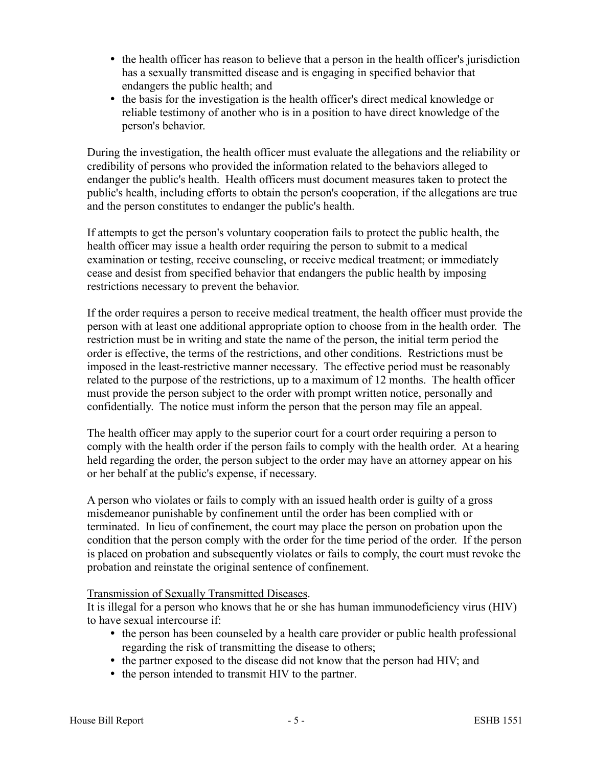- the health officer has reason to believe that a person in the health officer's jurisdiction has a sexually transmitted disease and is engaging in specified behavior that endangers the public health; and
- the basis for the investigation is the health officer's direct medical knowledge or reliable testimony of another who is in a position to have direct knowledge of the person's behavior.

During the investigation, the health officer must evaluate the allegations and the reliability or credibility of persons who provided the information related to the behaviors alleged to endanger the public's health. Health officers must document measures taken to protect the public's health, including efforts to obtain the person's cooperation, if the allegations are true and the person constitutes to endanger the public's health.

If attempts to get the person's voluntary cooperation fails to protect the public health, the health officer may issue a health order requiring the person to submit to a medical examination or testing, receive counseling, or receive medical treatment; or immediately cease and desist from specified behavior that endangers the public health by imposing restrictions necessary to prevent the behavior.

If the order requires a person to receive medical treatment, the health officer must provide the person with at least one additional appropriate option to choose from in the health order. The restriction must be in writing and state the name of the person, the initial term period the order is effective, the terms of the restrictions, and other conditions. Restrictions must be imposed in the least-restrictive manner necessary. The effective period must be reasonably related to the purpose of the restrictions, up to a maximum of 12 months. The health officer must provide the person subject to the order with prompt written notice, personally and confidentially. The notice must inform the person that the person may file an appeal.

The health officer may apply to the superior court for a court order requiring a person to comply with the health order if the person fails to comply with the health order. At a hearing held regarding the order, the person subject to the order may have an attorney appear on his or her behalf at the public's expense, if necessary.

A person who violates or fails to comply with an issued health order is guilty of a gross misdemeanor punishable by confinement until the order has been complied with or terminated. In lieu of confinement, the court may place the person on probation upon the condition that the person comply with the order for the time period of the order. If the person is placed on probation and subsequently violates or fails to comply, the court must revoke the probation and reinstate the original sentence of confinement.

## Transmission of Sexually Transmitted Diseases.

It is illegal for a person who knows that he or she has human immunodeficiency virus (HIV) to have sexual intercourse if:

- the person has been counseled by a health care provider or public health professional regarding the risk of transmitting the disease to others;
- the partner exposed to the disease did not know that the person had HIV; and
- the person intended to transmit HIV to the partner.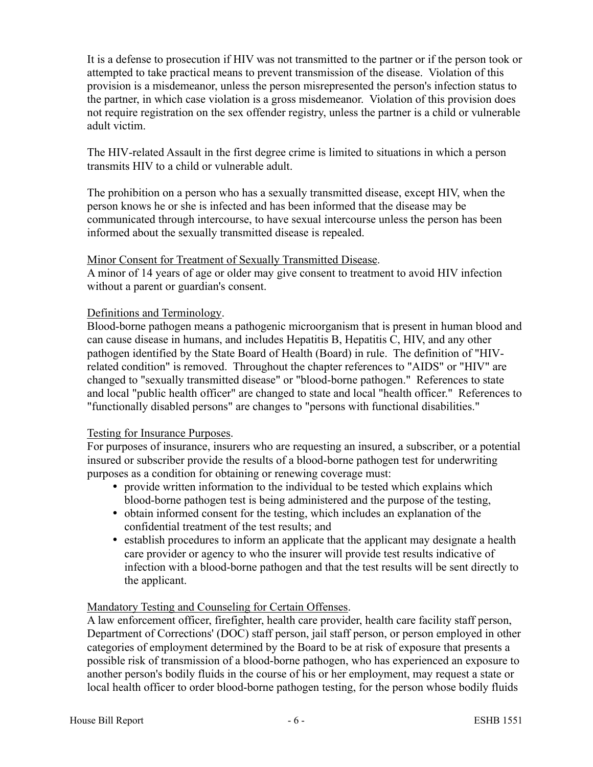It is a defense to prosecution if HIV was not transmitted to the partner or if the person took or attempted to take practical means to prevent transmission of the disease. Violation of this provision is a misdemeanor, unless the person misrepresented the person's infection status to the partner, in which case violation is a gross misdemeanor. Violation of this provision does not require registration on the sex offender registry, unless the partner is a child or vulnerable adult victim.

The HIV-related Assault in the first degree crime is limited to situations in which a person transmits HIV to a child or vulnerable adult.

The prohibition on a person who has a sexually transmitted disease, except HIV, when the person knows he or she is infected and has been informed that the disease may be communicated through intercourse, to have sexual intercourse unless the person has been informed about the sexually transmitted disease is repealed.

## Minor Consent for Treatment of Sexually Transmitted Disease.

A minor of 14 years of age or older may give consent to treatment to avoid HIV infection without a parent or guardian's consent.

## Definitions and Terminology.

Blood-borne pathogen means a pathogenic microorganism that is present in human blood and can cause disease in humans, and includes Hepatitis B, Hepatitis C, HIV, and any other pathogen identified by the State Board of Health (Board) in rule. The definition of "HIVrelated condition" is removed. Throughout the chapter references to "AIDS" or "HIV" are changed to "sexually transmitted disease" or "blood-borne pathogen." References to state and local "public health officer" are changed to state and local "health officer." References to "functionally disabled persons" are changes to "persons with functional disabilities."

## Testing for Insurance Purposes.

For purposes of insurance, insurers who are requesting an insured, a subscriber, or a potential insured or subscriber provide the results of a blood-borne pathogen test for underwriting purposes as a condition for obtaining or renewing coverage must:

- provide written information to the individual to be tested which explains which blood-borne pathogen test is being administered and the purpose of the testing,
- obtain informed consent for the testing, which includes an explanation of the confidential treatment of the test results; and
- establish procedures to inform an applicate that the applicant may designate a health care provider or agency to who the insurer will provide test results indicative of infection with a blood-borne pathogen and that the test results will be sent directly to the applicant.

## Mandatory Testing and Counseling for Certain Offenses.

A law enforcement officer, firefighter, health care provider, health care facility staff person, Department of Corrections' (DOC) staff person, jail staff person, or person employed in other categories of employment determined by the Board to be at risk of exposure that presents a possible risk of transmission of a blood-borne pathogen, who has experienced an exposure to another person's bodily fluids in the course of his or her employment, may request a state or local health officer to order blood-borne pathogen testing, for the person whose bodily fluids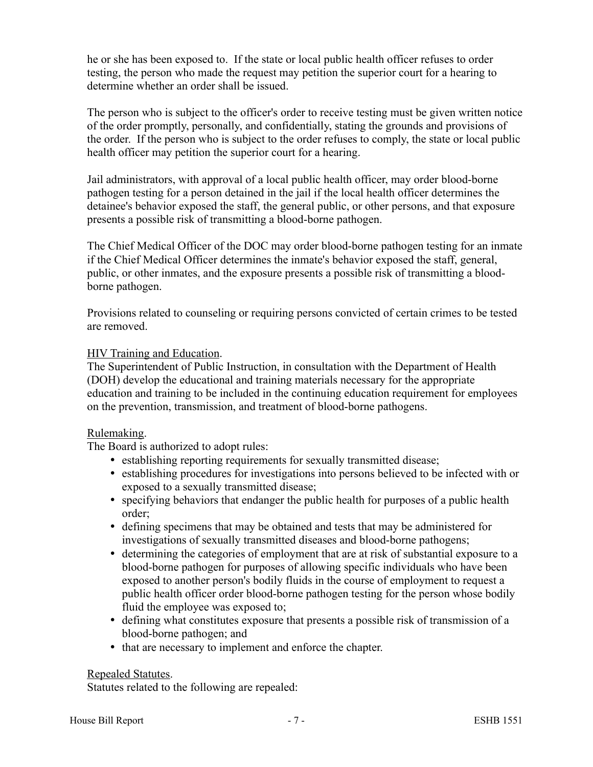he or she has been exposed to. If the state or local public health officer refuses to order testing, the person who made the request may petition the superior court for a hearing to determine whether an order shall be issued.

The person who is subject to the officer's order to receive testing must be given written notice of the order promptly, personally, and confidentially, stating the grounds and provisions of the order. If the person who is subject to the order refuses to comply, the state or local public health officer may petition the superior court for a hearing.

Jail administrators, with approval of a local public health officer, may order blood-borne pathogen testing for a person detained in the jail if the local health officer determines the detainee's behavior exposed the staff, the general public, or other persons, and that exposure presents a possible risk of transmitting a blood-borne pathogen.

The Chief Medical Officer of the DOC may order blood-borne pathogen testing for an inmate if the Chief Medical Officer determines the inmate's behavior exposed the staff, general, public, or other inmates, and the exposure presents a possible risk of transmitting a bloodborne pathogen.

Provisions related to counseling or requiring persons convicted of certain crimes to be tested are removed.

## HIV Training and Education.

The Superintendent of Public Instruction, in consultation with the Department of Health (DOH) develop the educational and training materials necessary for the appropriate education and training to be included in the continuing education requirement for employees on the prevention, transmission, and treatment of blood-borne pathogens.

## Rulemaking.

The Board is authorized to adopt rules:

- establishing reporting requirements for sexually transmitted disease;
- establishing procedures for investigations into persons believed to be infected with or exposed to a sexually transmitted disease;
- specifying behaviors that endanger the public health for purposes of a public health order;
- defining specimens that may be obtained and tests that may be administered for investigations of sexually transmitted diseases and blood-borne pathogens;
- determining the categories of employment that are at risk of substantial exposure to a blood-borne pathogen for purposes of allowing specific individuals who have been exposed to another person's bodily fluids in the course of employment to request a public health officer order blood-borne pathogen testing for the person whose bodily fluid the employee was exposed to;
- defining what constitutes exposure that presents a possible risk of transmission of a blood-borne pathogen; and
- that are necessary to implement and enforce the chapter.

#### Repealed Statutes.

Statutes related to the following are repealed: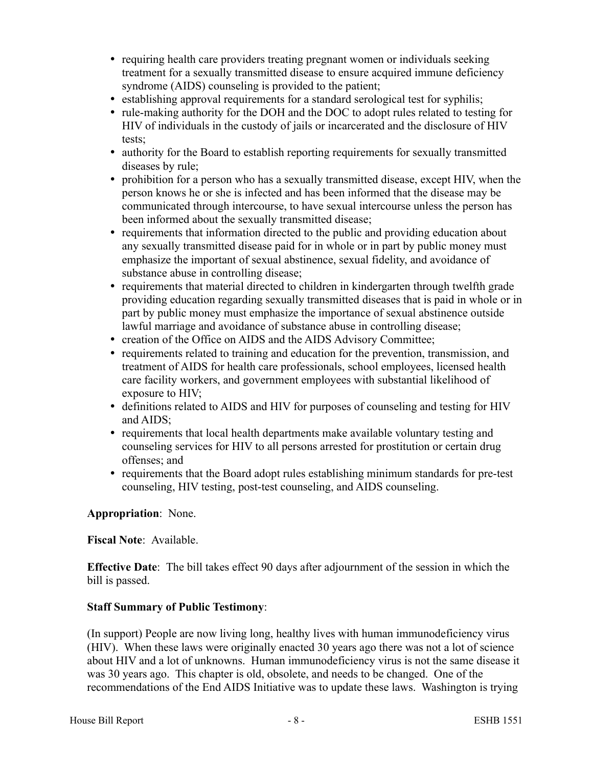- requiring health care providers treating pregnant women or individuals seeking treatment for a sexually transmitted disease to ensure acquired immune deficiency syndrome (AIDS) counseling is provided to the patient;
- establishing approval requirements for a standard serological test for syphilis;
- rule-making authority for the DOH and the DOC to adopt rules related to testing for HIV of individuals in the custody of jails or incarcerated and the disclosure of HIV tests;
- authority for the Board to establish reporting requirements for sexually transmitted diseases by rule;
- prohibition for a person who has a sexually transmitted disease, except HIV, when the person knows he or she is infected and has been informed that the disease may be communicated through intercourse, to have sexual intercourse unless the person has been informed about the sexually transmitted disease;
- requirements that information directed to the public and providing education about any sexually transmitted disease paid for in whole or in part by public money must emphasize the important of sexual abstinence, sexual fidelity, and avoidance of substance abuse in controlling disease;
- requirements that material directed to children in kindergarten through twelfth grade providing education regarding sexually transmitted diseases that is paid in whole or in part by public money must emphasize the importance of sexual abstinence outside lawful marriage and avoidance of substance abuse in controlling disease;
- creation of the Office on AIDS and the AIDS Advisory Committee;
- requirements related to training and education for the prevention, transmission, and treatment of AIDS for health care professionals, school employees, licensed health care facility workers, and government employees with substantial likelihood of exposure to HIV;
- definitions related to AIDS and HIV for purposes of counseling and testing for HIV and AIDS;
- requirements that local health departments make available voluntary testing and counseling services for HIV to all persons arrested for prostitution or certain drug offenses; and
- requirements that the Board adopt rules establishing minimum standards for pre-test counseling, HIV testing, post-test counseling, and AIDS counseling.

# **Appropriation**: None.

## **Fiscal Note**: Available.

**Effective Date**: The bill takes effect 90 days after adjournment of the session in which the bill is passed.

## **Staff Summary of Public Testimony**:

(In support) People are now living long, healthy lives with human immunodeficiency virus (HIV). When these laws were originally enacted 30 years ago there was not a lot of science about HIV and a lot of unknowns. Human immunodeficiency virus is not the same disease it was 30 years ago. This chapter is old, obsolete, and needs to be changed. One of the recommendations of the End AIDS Initiative was to update these laws. Washington is trying